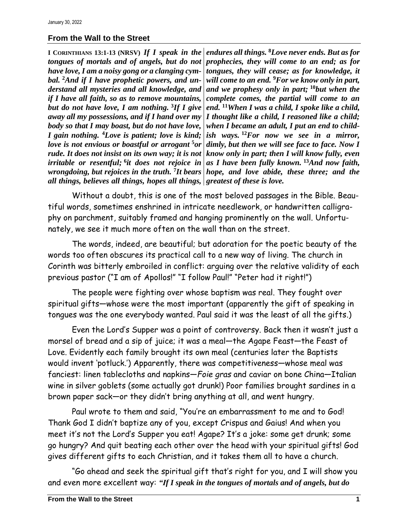## **From the Wall to the Street**

**I CORINTHIANS 13:1-13 (NRSV)** *If I speak in the tongues of mortals and of angels, but do not have love, I am a noisy gong or a clanging cymbal.* **<sup>2</sup>***And if I have prophetic powers, and understand all mysteries and all knowledge, and if I have all faith, so as to remove mountains, but do not have love, I am nothing.* **<sup>3</sup>** *If I give away all my possessions, and if I hand over my body so that I may boast, but do not have love, I gain nothing.* **<sup>4</sup>***Love is patient; love is kind; love is not envious or boastful or arrogant* **<sup>5</sup>***or rude. It does not insist on its own way; it is not irritable or resentful;* **6** *it does not rejoice in all things, believes all things, hopes all things, greatest of these is love.*

*wrongdoing, but rejoices in the truth.* **<sup>7</sup>** *It bears hope, and love abide, these three; and the endures all things.* **<sup>8</sup>***Love never ends. But as for prophecies, they will come to an end; as for tongues, they will cease; as for knowledge, it will come to an end.* **<sup>9</sup>***For we know only in part, and we prophesy only in part;* **<sup>10</sup>***but when the complete comes, the partial will come to an end.* **<sup>11</sup>***When I was a child, I spoke like a child, I thought like a child, I reasoned like a child; when I became an adult, I put an end to childish ways.* **<sup>12</sup>***For now we see in a mirror, dimly, but then we will see face to face. Now I know only in part; then I will know fully, even as I have been fully known.* **<sup>13</sup>***And now faith,* 

Without a doubt, this is one of the most beloved passages in the Bible. Beautiful words, sometimes enshrined in intricate needlework, or handwritten calligraphy on parchment, suitably framed and hanging prominently on the wall. Unfortunately, we see it much more often on the wall than on the street.

The words, indeed, are beautiful; but adoration for the poetic beauty of the words too often obscures its practical call to a new way of living. The church in Corinth was bitterly embroiled in conflict: arguing over the relative validity of each previous pastor ("I am of Apollos!" "I follow Paul!" "Peter had it right!")

The people were fighting over whose baptism was real. They fought over spiritual gifts—whose were the most important (apparently the gift of speaking in tongues was the one everybody wanted. Paul said it was the least of all the gifts.)

Even the Lord's Supper was a point of controversy. Back then it wasn't just a morsel of bread and a sip of juice; it was a meal—the Agape Feast—the Feast of Love. Evidently each family brought its own meal (centuries later the Baptists would invent 'potluck.') Apparently, there was competitiveness—whose meal was fanciest: linen tablecloths and napkins—*Foie gras* and caviar on bone China—Italian wine in silver goblets (some actually got drunk!) Poor families brought sardines in a brown paper sack—or they didn't bring anything at all, and went hungry.

Paul wrote to them and said, "You're an embarrassment to me and to God! Thank God I didn't baptize any of you, except Crispus and Gaius! And when you meet it's not the Lord's Supper you eat! Agape? It's a joke: some get drunk; some go hungry? And quit beating each other over the head with your spiritual gifts! God gives different gifts to each Christian, and it takes them all to have a church.

"Go ahead and seek the spiritual gift that's right for you, and I will show you and even more excellent way: *"If I speak in the tongues of mortals and of angels, but do*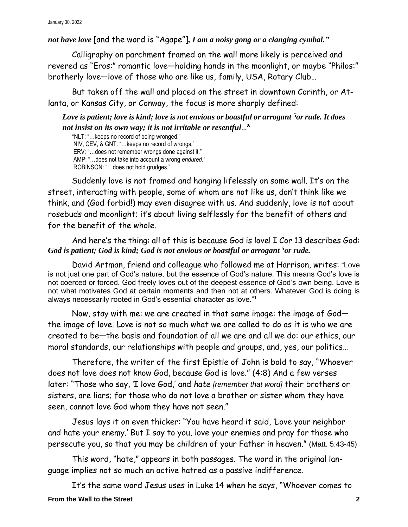*not have love* [and the word is "Agape"]*, I am a noisy gong or a clanging cymbal."*

Calligraphy on parchment framed on the wall more likely is perceived and revered as "Eros:" romantic love—holding hands in the moonlight, or maybe "Philos:" brotherly love—love of those who are like us, family, USA, Rotary Club…

But taken off the wall and placed on the street in downtown Corinth, or Atlanta, or Kansas City, or Conway, the focus is more sharply defined:

*Love is patient; love is kind; love is not envious or boastful or arrogant* **<sup>5</sup>***or rude. It does not insist on its own way; it is not irritable or resentful…*\*

\*NLT: "…keeps no record of being wronged." NIV, CEV, & GNT: "…keeps no record of wrongs." ERV: "…does not remember wrongs done against it." AMP: "…does not take into account a wrong *endured*." ROBINSON: "…does not hold grudges."

Suddenly love is not framed and hanging lifelessly on some wall. It's on the street, interacting with people, some of whom are not like us, don't think like we think, and (God forbid!) may even disagree with us. And suddenly, love is not about rosebuds and moonlight; it's about living selflessly for the benefit of others and for the benefit of the whole.

## And here's the thing: all of this is because God is love! I Cor 13 describes God: *God is patient; God is kind; God is not envious or boastful or arrogant* **<sup>5</sup>***or rude.*

David Artman, friend and colleague who followed me at Harrison, writes: "Love is not just one part of God's nature, but the essence of God's nature. This means God's love is not coerced or forced. God freely loves out of the deepest essence of God's own being. Love is not what motivates God at certain moments and then not at others. Whatever God is doing is always necessarily rooted in God's essential character as love."<sup>1</sup>

Now, stay with me: we are created in that same image: the image of God the image of love. Love is not so much what we are called to do as it is who we are created to be—the basis and foundation of all we are and all we do: our ethics, our moral standards, our relationships with people and groups, and, yes, our politics…

Therefore, the writer of the first Epistle of John is bold to say, "Whoever does not love does not know God, because God is love." (4:8) And a few verses later: "Those who say, 'I love God,' and *hate [remember that word]* their brothers or sisters, are liars; for those who do not love a brother or sister whom they have seen, cannot love God whom they have not seen."

Jesus lays it on even thicker: "You have heard it said, 'Love your neighbor and hate your enemy.' But I say to you, love your enemies and pray for those who persecute you, so that you may be children of your Father in heaven." (Matt. 5:43-45)

This word, "hate," appears in both passages. The word in the original language implies not so much an active hatred as a passive indifference.

It's the same word Jesus uses in Luke 14 when he says, "Whoever comes to